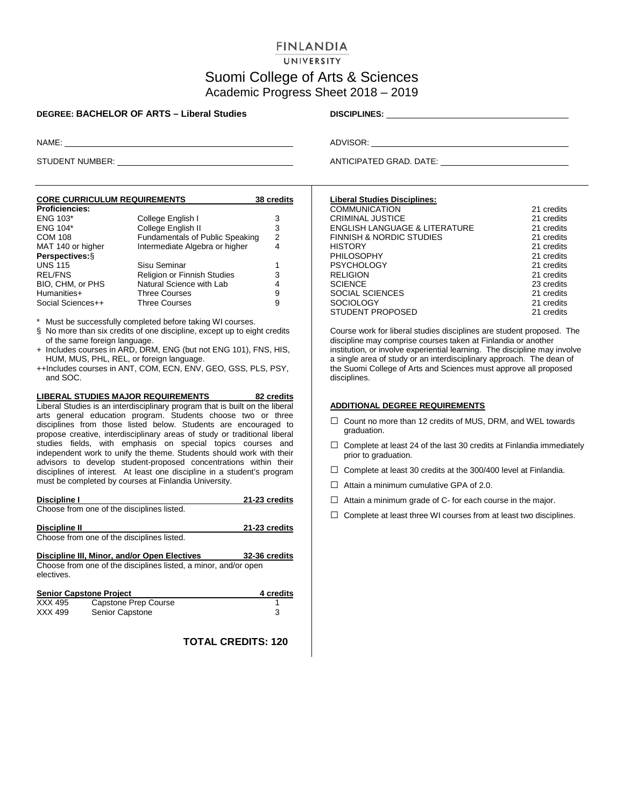## **FINLANDIA**

### UNIVERSITY

# Suomi College of Arts & Sciences Academic Progress Sheet 2018 – 2019

## **DEGREE: BACHELOR OF ARTS – Liberal Studies DISCIPLINES:**

| <b>CORE CURRICULUM REQUIREMENTS</b> |                                        | 38 credits |  |
|-------------------------------------|----------------------------------------|------------|--|
| <b>Proficiencies:</b>               |                                        |            |  |
| <b>ENG 103*</b>                     | College English I                      | 3          |  |
| <b>ENG 104*</b>                     | College English II                     | 3          |  |
| <b>COM 108</b>                      | <b>Fundamentals of Public Speaking</b> | 2          |  |
| MAT 140 or higher                   | Intermediate Algebra or higher         | 4          |  |
| Perspectives: §                     |                                        |            |  |
| <b>UNS 115</b>                      | Sisu Seminar                           | 1          |  |
| <b>REL/FNS</b>                      | Religion or Finnish Studies            | 3          |  |
| BIO, CHM, or PHS                    | Natural Science with Lab               | 4          |  |
| Humanities+                         | <b>Three Courses</b>                   | 9          |  |
| Social Sciences++                   | <b>Three Courses</b>                   | 9          |  |

\* Must be successfully completed before taking WI courses.

- § No more than six credits of one discipline, except up to eight credits of the same foreign language.
- + Includes courses in ARD, DRM, ENG (but not ENG 101), FNS, HIS, HUM, MUS, PHL, REL, or foreign language.
- ++Includes courses in ANT, COM, ECN, ENV, GEO, GSS, PLS, PSY, and SOC.

**LIBERAL STUDIES MAJOR REQUIREMENTS 82 credits** Liberal Studies is an interdisciplinary program that is built on the liberal arts general education program. Students choose two or three disciplines from those listed below. Students are encouraged to propose creative, interdisciplinary areas of study or traditional liberal studies fields, with emphasis on special topics courses and independent work to unify the theme. Students should work with their advisors to develop student-proposed concentrations within their disciplines of interest. At least one discipline in a student's program must be completed by courses at Finlandia University.

| <b>Discipline I</b> |                                                                 | 21-23 credits |
|---------------------|-----------------------------------------------------------------|---------------|
|                     | Choose from one of the disciplines listed.                      |               |
| Discipline II       |                                                                 | 21-23 credits |
|                     | Choose from one of the disciplines listed.                      |               |
|                     | Discipline III, Minor, and/or Open Electives                    | 32-36 credits |
| electives.          | Choose from one of the disciplines listed, a minor, and/or open |               |
|                     | <b>Senior Capstone Project</b>                                  | 4 credits     |
| XXX 495             | Capstone Prep Course                                            |               |
| XXX 499             | Senior Capstone                                                 |               |

**TOTAL CREDITS: 120**

NAME: ADVISOR:

STUDENT NUMBER: ANTICIPATED GRAD. DATE: ANTICIPATED GRAD. DATE: ANTICIPATED GRAD. DATE: ANTICIPATED GRAD. DATE:

## **Liberal Studies Disciplines:**

| <b>COMMUNICATION</b>                | 21 credits |
|-------------------------------------|------------|
| <b>CRIMINAL JUSTICE</b>             | 21 credits |
| ENGLISH LANGUAGE & LITERATURE       | 21 credits |
| <b>FINNISH &amp; NORDIC STUDIES</b> | 21 credits |
| <b>HISTORY</b>                      | 21 credits |
| <b>PHILOSOPHY</b>                   | 21 credits |
| <b>PSYCHOLOGY</b>                   | 21 credits |
| <b>RELIGION</b>                     | 21 credits |
| <b>SCIENCE</b>                      | 23 credits |
| SOCIAL SCIENCES                     | 21 credits |
| SOCIOLOGY                           | 21 credits |
| <b>STUDENT PROPOSED</b>             | 21 credits |
|                                     |            |

Course work for liberal studies disciplines are student proposed. The discipline may comprise courses taken at Finlandia or another institution, or involve experiential learning. The discipline may involve a single area of study or an interdisciplinary approach. The dean of the Suomi College of Arts and Sciences must approve all proposed disciplines.

### **ADDITIONAL DEGREE REQUIREMENTS**

- □ Count no more than 12 credits of MUS, DRM, and WEL towards graduation.
- $\Box$  Complete at least 24 of the last 30 credits at Finlandia immediately prior to graduation.
- $\Box$  Complete at least 30 credits at the 300/400 level at Finlandia.
- $\Box$  Attain a minimum cumulative GPA of 2.0.
- $\Box$  Attain a minimum grade of C- for each course in the major.
- $\square$  Complete at least three WI courses from at least two disciplines.